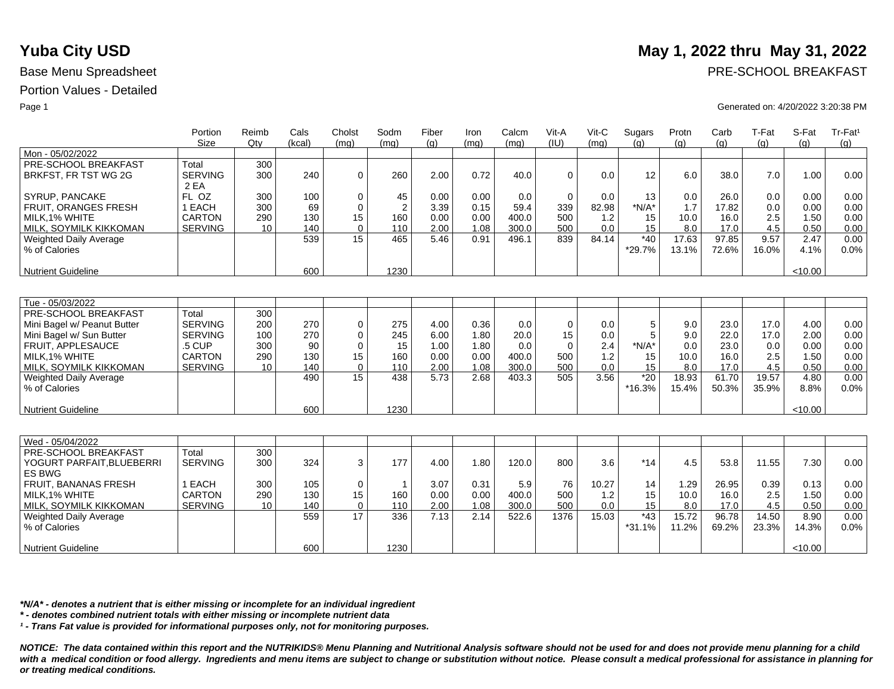|                               | Portion<br><b>Size</b> | Reimb<br>Qtv | Cals<br>(kcal) | Cholst<br>(mq) | Sodm<br>(mq)   | Fiber<br>(q) | Iron<br>(mq) | Calcm<br>(mq) | Vit-A<br>(IU) | $V$ it-C<br>(mq) | Sugars<br>(q) | Protn<br>(q) | Carb<br>(g) | T-Fat<br>(g) | S-Fat<br>(q) | Tr-Fat <sup>1</sup><br>(g) |
|-------------------------------|------------------------|--------------|----------------|----------------|----------------|--------------|--------------|---------------|---------------|------------------|---------------|--------------|-------------|--------------|--------------|----------------------------|
| Mon - 05/02/2022              |                        |              |                |                |                |              |              |               |               |                  |               |              |             |              |              |                            |
| PRE-SCHOOL BREAKFAST          | Total                  | 300          |                |                |                |              |              |               |               |                  |               |              |             |              |              |                            |
| BRKFST, FR TST WG 2G          | <b>SERVING</b>         | 300          | 240            | $\Omega$       | 260            | 2.00         | 0.72         | 40.0          | $\Omega$      | 0.0              | 12            | 6.0          | 38.0        | 7.0          | 1.00         | 0.00                       |
|                               | 2 EA                   |              |                |                |                |              |              |               |               |                  |               |              |             |              |              |                            |
| SYRUP, PANCAKE                | FL OZ                  | 300          | 100            | 0              | 45             | 0.00         | 0.00         | 0.0           | $\mathbf 0$   | 0.0              | 13            | 0.0          | 26.0        | 0.0          | 0.00         | 0.00                       |
| <b>FRUIT, ORANGES FRESH</b>   | 1 EACH                 | 300          | 69             | 0              | $\overline{2}$ | 3.39         | 0.15         | 59.4          | 339           | 82.98            | $*N/A*$       | 1.7          | 17.82       | 0.0          | 0.00         | 0.00                       |
| MILK.1% WHITE                 | CARTON                 | 290          | 130            | 15             | 160            | 0.00         | 0.00         | 400.0         | 500           | 1.2              | 15            | 10.0         | 16.0        | 2.5          | 1.50         | 0.00                       |
| MILK, SOYMILK KIKKOMAN        | <b>SERVING</b>         | 10           | 140            | $\Omega$       | 110            | 2.00         | 1.08         | 300.0         | 500           | 0.0              | 15            | 8.0          | 17.0        | 4.5          | 0.50         | 0.00                       |
| <b>Weighted Daily Average</b> |                        |              | 539            | 15             | 465            | 5.46         | 0.91         | 496.1         | 839           | 84.14            | $*40$         | 17.63        | 97.85       | 9.57         | 2.47         | 0.00                       |
| % of Calories                 |                        |              |                |                |                |              |              |               |               |                  | *29.7%        | 13.1%        | 72.6%       | 16.0%        | 4.1%         | 0.0%                       |
|                               |                        |              |                |                |                |              |              |               |               |                  |               |              |             |              |              |                            |
| <b>Nutrient Guideline</b>     |                        |              | 600            |                | 1230           |              |              |               |               |                  |               |              |             |              | < 10.00      |                            |
|                               |                        |              |                |                |                |              |              |               |               |                  |               |              |             |              |              |                            |
|                               |                        |              |                |                |                |              |              |               |               |                  |               |              |             |              |              |                            |
| Tue - 05/03/2022              |                        |              |                |                |                |              |              |               |               |                  |               |              |             |              |              |                            |
| PRE-SCHOOL BREAKFAST          | Total                  | 300          |                |                |                |              |              |               |               |                  |               |              |             |              |              |                            |
| Mini Bagel w/ Peanut Butter   | <b>SERVING</b>         | 200          | 270            | $\mathbf 0$    | 275            | 4.00         | 0.36         | 0.0           | $\mathbf 0$   | 0.0              | 5             | 9.0          | 23.0        | 17.0         | 4.00         | 0.00                       |
| Mini Bagel w/ Sun Butter      | <b>SERVING</b>         | 100          | 270            | $\mathbf 0$    | 245            | 6.00         | 1.80         | 20.0          | 15            | 0.0              | 5             | 9.0          | 22.0        | 17.0         | 2.00         | 0.00                       |
| FRUIT. APPLESAUCE             | .5 CUP                 | 300          | 90             | $\mathbf 0$    | 15             | 1.00         | 1.80         | 0.0           | $\mathbf 0$   | 2.4              | $*N/A*$       | 0.0          | 23.0        | 0.0          | 0.00         | 0.00                       |
| MILK, 1% WHITE                | <b>CARTON</b>          | 290          | 130            | 15             | 160            | 0.00         | 0.00         | 400.0         | 500           | 1.2              | 15            | 10.0         | 16.0        | 2.5          | 1.50         | 0.00                       |
| MILK, SOYMILK KIKKOMAN        | <b>SERVING</b>         | 10           | 140            | $\Omega$       | 110            | 2.00         | 1.08         | 300.0         | 500           | 0.0              | 15            | 8.0          | 17.0        | 4.5          | 0.50         | 0.00                       |
| <b>Weighted Daily Average</b> |                        |              | 490            | 15             | 438            | 5.73         | 2.68         | 403.3         | 505           | 3.56             | $*20$         | 18.93        | 61.70       | 19.57        | 4.80         | 0.00                       |
| % of Calories                 |                        |              |                |                |                |              |              |               |               |                  | $*16.3%$      | 15.4%        | 50.3%       | 35.9%        | 8.8%         | 0.0%                       |
|                               |                        |              |                |                |                |              |              |               |               |                  |               |              |             |              |              |                            |
| <b>Nutrient Guideline</b>     |                        |              | 600            |                | 1230           |              |              |               |               |                  |               |              |             |              | < 10.00      |                            |
|                               |                        |              |                |                |                |              |              |               |               |                  |               |              |             |              |              |                            |
|                               |                        |              |                |                |                |              |              |               |               |                  |               |              |             |              |              |                            |
| Wed - 05/04/2022              |                        |              |                |                |                |              |              |               |               |                  |               |              |             |              |              |                            |
| PRE-SCHOOL BREAKFAST          | Total                  | 300          |                |                |                |              |              |               |               |                  |               |              |             |              |              |                            |
| YOGURT PARFAIT, BLUEBERRI     | <b>SERVING</b>         | 300          | 324            | 3              | 177            | 4.00         | 1.80         | 120.0         | 800           | 3.6              | $*14$         | 4.5          | 53.8        | 11.55        | 7.30         | 0.00                       |
| <b>ES BWG</b>                 |                        |              |                |                |                |              |              |               |               |                  |               |              |             |              |              |                            |
| FRUIT, BANANAS FRESH          | 1 EACH                 | 300          | 105            | $\mathbf 0$    | $\overline{1}$ | 3.07         | 0.31         | 5.9           | 76            | 10.27            | 14            | 1.29         | 26.95       | 0.39         | 0.13         | 0.00                       |
| MILK.1% WHITE                 | <b>CARTON</b>          | 290          | 130            | 15             | 160            | 0.00         | 0.00         | 400.0         | 500           | 1.2              | 15            | 10.0         | 16.0        | 2.5          | 1.50         | 0.00                       |
| MILK, SOYMILK KIKKOMAN        | <b>SERVING</b>         | 10           | 140            | $\mathbf 0$    | 110            | 2.00         | 1.08         | 300.0         | 500           | 0.0              | 15            | 8.0          | 17.0        | 4.5          | 0.50         | 0.00                       |
| Weighted Daily Average        |                        |              | 559            | 17             | 336            | 7.13         | 2.14         | 522.6         | 1376          | 15.03            | $*43$         | 15.72        | 96.78       | 14.50        | 8.90         | 0.00                       |
| % of Calories                 |                        |              |                |                |                |              |              |               |               |                  | $*31.1%$      | 11.2%        | 69.2%       | 23.3%        | 14.3%        | 0.0%                       |
|                               |                        |              |                |                |                |              |              |               |               |                  |               |              |             |              |              |                            |
| <b>Nutrient Guideline</b>     |                        |              | 600            |                | 1230           |              |              |               |               |                  |               |              |             |              | < 10.00      |                            |

*\*N/A\* - denotes a nutrient that is either missing or incomplete for an individual ingredient*

*\* - denotes combined nutrient totals with either missing or incomplete nutrient data*

*¹ - Trans Fat value is provided for informational purposes only, not for monitoring purposes.*

*NOTICE: The data contained within this report and the NUTRIKIDS® Menu Planning and Nutritional Analysis software should not be used for and does not provide menu planning for a child*  with a medical condition or food allergy. Ingredients and menu items are subject to change or substitution without notice. Please consult a medical professional for assistance in planning for *or treating medical conditions.*

## **Yuba City USD** May 1, 2022 thru May 31, 2022

Base Menu Spreadsheet **PRE-SCHOOL BREAKFAST** 

### Page 1 Generated on: 4/20/2022 3:20:38 PM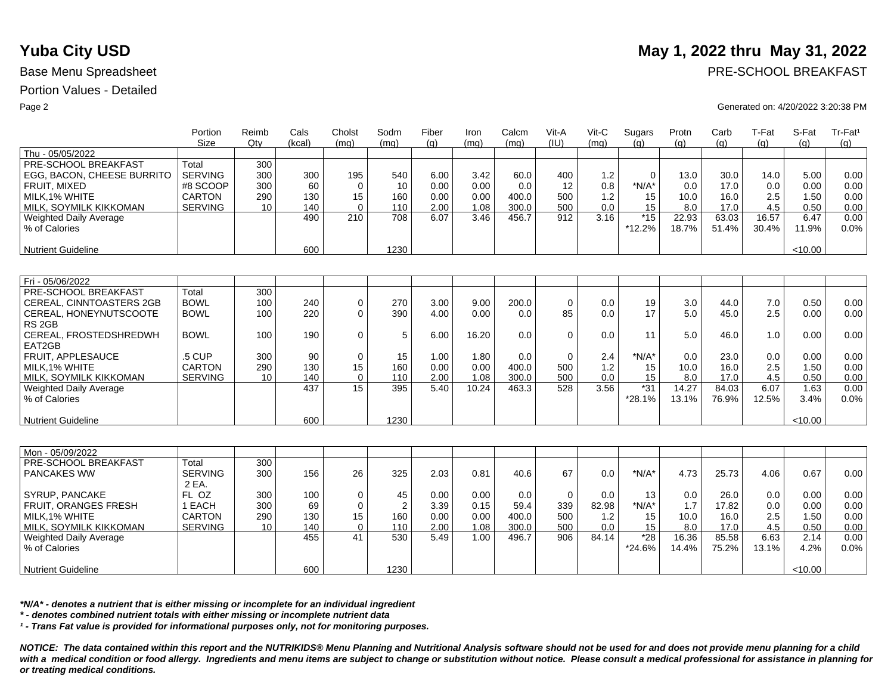|                               | Portion<br>Size | Reimb<br>Otv | Cals<br>(kcal) | Cholst<br>(mq) | Sodm<br>(mq)   | Fiber<br>(q) | Iron<br>(mq) | Calcm<br>(mq) | Vit-A<br>(IU) | Vit-C<br>(mq) | Sugars<br>(q) | Protn<br>(q) | Carb<br>(q) | T-Fat<br>(q) | S-Fat<br>(q) | Tr-Fat <sup>1</sup><br>(g) |
|-------------------------------|-----------------|--------------|----------------|----------------|----------------|--------------|--------------|---------------|---------------|---------------|---------------|--------------|-------------|--------------|--------------|----------------------------|
| Thu - 05/05/2022              |                 |              |                |                |                |              |              |               |               |               |               |              |             |              |              |                            |
| PRE-SCHOOL BREAKFAST          | Total           | 300          |                |                |                |              |              |               |               |               |               |              |             |              |              |                            |
| EGG, BACON, CHEESE BURRITO    | <b>SERVING</b>  | 300          | 300            | 195            | 540            | 6.00         | 3.42         | 60.0          | 400           | 1.2           | $\mathbf 0$   | 13.0         | 30.0        | 14.0         | 5.00         | 0.00                       |
| FRUIT, MIXED                  | #8 SCOOP        | 300          | 60             | $\Omega$       | 10             | 0.00         | 0.00         | 0.0           | 12            | 0.8           | $*N/A*$       | 0.0          | 17.0        | 0.0          | 0.00         | 0.00                       |
| MILK.1% WHITE                 | <b>CARTON</b>   | 290          | 130            | 15             | 160            | 0.00         | 0.00         | 400.0         | 500           | 1.2           | 15            | 10.0         | 16.0        | 2.5          | 1.50         | 0.00                       |
| MILK, SOYMILK KIKKOMAN        | <b>SERVING</b>  | 10           | 140            | $\Omega$       | 110            | 2.00         | 1.08         | 300.0         | 500           | 0.0           | 15            | 8.0          | 17.0        | 4.5          | 0.50         | 0.00                       |
| <b>Weighted Daily Average</b> |                 |              | 490            | 210            | 708            | 6.07         | 3.46         | 456.7         | 912           | 3.16          | $*15$         | 22.93        | 63.03       | 16.57        | 6.47         | 0.00                       |
| % of Calories                 |                 |              |                |                |                |              |              |               |               |               | *12.2%        | 18.7%        | 51.4%       | 30.4%        | 11.9%        | 0.0%                       |
|                               |                 |              |                |                |                |              |              |               |               |               |               |              |             |              |              |                            |
| Nutrient Guideline            |                 |              | 600            |                | 1230           |              |              |               |               |               |               |              |             |              | < 10.00      |                            |
|                               |                 |              |                |                |                |              |              |               |               |               |               |              |             |              |              |                            |
| Fri - 05/06/2022              |                 |              |                |                |                |              |              |               |               |               |               |              |             |              |              |                            |
| PRE-SCHOOL BREAKFAST          | Total           | 300          |                |                |                |              |              |               |               |               |               |              |             |              |              |                            |
| CEREAL, CINNTOASTERS 2GB      | <b>BOWL</b>     | 100          | 240            | $\mathbf 0$    | 270            | 3.00         | 9.00         | 200.0         | $\mathbf 0$   | 0.0           | 19            | 3.0          | 44.0        | 7.0          | 0.50         | 0.00                       |
| CEREAL, HONEYNUTSCOOTE        | <b>BOWL</b>     | 100          | 220            | $\Omega$       | 390            | 4.00         | 0.00         | 0.0           | 85            | 0.0           | 17            | 5.0          | 45.0        | 2.5          | 0.00         | 0.00                       |
| RS <sub>2GB</sub>             |                 |              |                |                |                |              |              |               |               |               |               |              |             |              |              |                            |
| CEREAL, FROSTEDSHREDWH        | <b>BOWL</b>     | 100          | 190            | $\Omega$       | 5              | 6.00         | 16.20        | 0.0           | $\Omega$      | 0.0           | 11            | 5.0          | 46.0        | 1.0          | 0.00         | 0.00                       |
| EAT2GB                        |                 |              |                |                |                |              |              |               |               |               |               |              |             |              |              |                            |
| FRUIT, APPLESAUCE             | .5 CUP          | 300          | 90             | $\mathbf 0$    | 15             | 1.00         | 1.80         | 0.0           | $\Omega$      | 2.4           | $*N/A*$       | 0.0          | 23.0        | 0.0          | 0.00         | 0.00                       |
| MILK.1% WHITE                 | <b>CARTON</b>   | 290          | 130            | 15             | 160            | 0.00         | 0.00         | 400.0         | 500           | 1.2           | 15            | 10.0         | 16.0        | 2.5          | 1.50         | 0.00                       |
| MILK, SOYMILK KIKKOMAN        | <b>SERVING</b>  | 10           | 140            | $\mathbf 0$    | 110            | 2.00         | 1.08         | 300.0         | 500           | 0.0           | 15            | 8.0          | 17.0        | 4.5          | 0.50         | 0.00                       |
| Weighted Daily Average        |                 |              | 437            | 15             | 395            | 5.40         | 10.24        | 463.3         | 528           | 3.56          | $*31$         | 14.27        | 84.03       | 6.07         | 1.63         | 0.00                       |
| % of Calories                 |                 |              |                |                |                |              |              |               |               |               | $*28.1%$      | 13.1%        | 76.9%       | 12.5%        | 3.4%         | 0.0%                       |
|                               |                 |              |                |                |                |              |              |               |               |               |               |              |             |              |              |                            |
| Nutrient Guideline            |                 |              | 600            |                | 1230           |              |              |               |               |               |               |              |             |              | < 10.00      |                            |
|                               |                 |              |                |                |                |              |              |               |               |               |               |              |             |              |              |                            |
| Mon - 05/09/2022              |                 |              |                |                |                |              |              |               |               |               |               |              |             |              |              |                            |
| PRE-SCHOOL BREAKFAST          | Total           | 300          |                |                |                |              |              |               |               |               |               |              |             |              |              |                            |
| <b>PANCAKES WW</b>            | <b>SERVING</b>  | 300          | 156            | 26             |                |              | 0.81         | 40.6          | 67            | 0.0           | $*N/A*$       |              |             | 4.06         |              | 0.00                       |
|                               | 2 EA.           |              |                |                | 325            | 2.03         |              |               |               |               |               | 4.73         | 25.73       |              | 0.67         |                            |
| SYRUP, PANCAKE                | FL OZ           | 300          | 100            | $\mathbf 0$    | 45             | 0.00         | 0.00         | 0.0           | $\mathbf 0$   | 0.0           | 13            | 0.0          | 26.0        | 0.0          | 0.00         | 0.00                       |
| FRUIT, ORANGES FRESH          | 1 EACH          | 300          | 69             | $\mathbf 0$    | $\overline{2}$ | 3.39         | 0.15         | 59.4          | 339           | 82.98         | $*N/A*$       | 1.7          | 17.82       | 0.0          | 0.00         | 0.00                       |
| MILK.1% WHITE                 | <b>CARTON</b>   | 290          | 130            | 15             | 160            | 0.00         | 0.00         | 400.0         | 500           | 1.2           | 15            | 10.0         | 16.0        | 2.5          | 1.50         | 0.00                       |
| MILK, SOYMILK KIKKOMAN        | <b>SERVING</b>  | 10           | 140            | $\mathbf 0$    | 110            | 2.00         | 1.08         | 300.0         | 500           | 0.0           | 15            | 8.0          | 17.0        | 4.5          | 0.50         | 0.00                       |
| Weighted Daily Average        |                 |              | 455            | 41             | 530            | 5.49         | 1.00         | 496.7         | 906           | 84.14         | $*28$         | 16.36        | 85.58       | 6.63         | 2.14         | 0.00                       |
| % of Calories                 |                 |              |                |                |                |              |              |               |               |               | $*24.6%$      | 14.4%        | 75.2%       | 13.1%        | 4.2%         | 0.0%                       |
|                               |                 |              |                |                |                |              |              |               |               |               |               |              |             |              |              |                            |
| Nutrient Guideline            |                 |              | 600            |                | 1230           |              |              |               |               |               |               |              |             |              | < 10.00      |                            |
|                               |                 |              |                |                |                |              |              |               |               |               |               |              |             |              |              |                            |

*\*N/A\* - denotes a nutrient that is either missing or incomplete for an individual ingredient*

*\* - denotes combined nutrient totals with either missing or incomplete nutrient data*

*¹ - Trans Fat value is provided for informational purposes only, not for monitoring purposes.*

*NOTICE: The data contained within this report and the NUTRIKIDS® Menu Planning and Nutritional Analysis software should not be used for and does not provide menu planning for a child*  with a medical condition or food allergy. Ingredients and menu items are subject to change or substitution without notice. Please consult a medical professional for assistance in planning for *or treating medical conditions.*

## **Yuba City USD** May 1, 2022 thru May 31, 2022

Base Menu Spreadsheet **PRE-SCHOOL BREAKFAST** 

### Page 2 Generated on: 4/20/2022 3:20:38 PM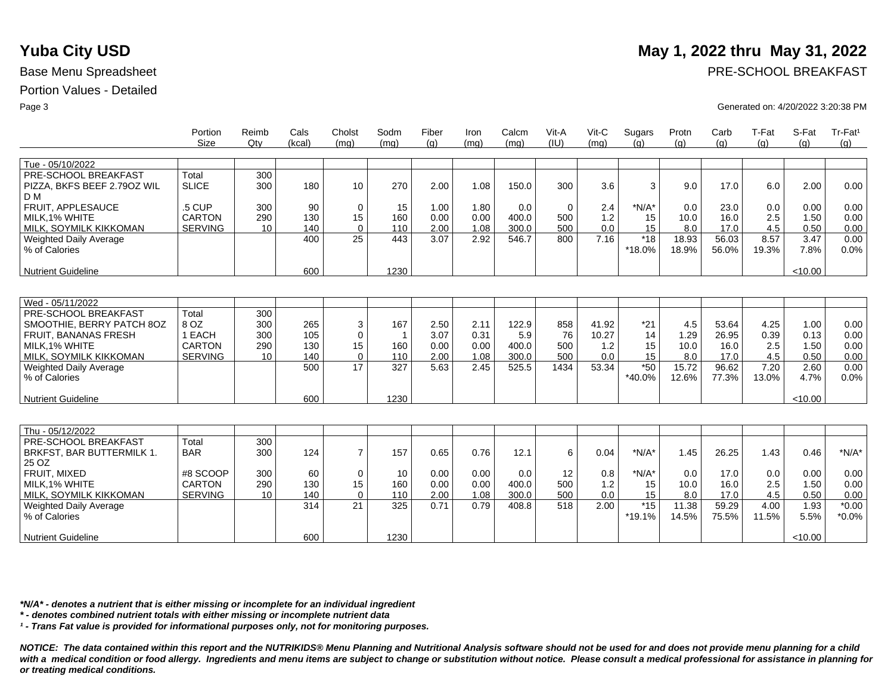|                                                          | Portion<br>Size | Reimb<br>Qtv | Cals<br>(kcal) | Cholst<br>(mq)   | Sodm<br>(mq)        | Fiber<br>(q) | Iron<br>(mq) | Calcm<br>(mq) | Vit-A<br>(IU) | $V$ it-C<br>(mq) | Sugars<br>(q) | Protn<br>(q) | Carb<br>(q) | T-Fat<br>(q) | S-Fat<br>(q) | Tr-Fat <sup>1</sup><br>(q) |
|----------------------------------------------------------|-----------------|--------------|----------------|------------------|---------------------|--------------|--------------|---------------|---------------|------------------|---------------|--------------|-------------|--------------|--------------|----------------------------|
| Tue - 05/10/2022                                         |                 |              |                |                  |                     |              |              |               |               |                  |               |              |             |              |              |                            |
| PRE-SCHOOL BREAKFAST                                     | Total           | 300          |                |                  |                     |              |              |               |               |                  |               |              |             |              |              |                            |
| PIZZA, BKFS BEEF 2.790Z WIL                              | <b>SLICE</b>    | 300          | 180            | 10               | 270                 | 2.00         | 1.08         | 150.0         | 300           | 3.6              | 3             | 9.0          | 17.0        | 6.0          | 2.00         | 0.00                       |
| D M                                                      |                 |              |                |                  |                     |              |              |               |               |                  |               |              |             |              |              |                            |
| <b>FRUIT, APPLESAUCE</b>                                 | .5 CUP          | 300          | 90             | $\mathbf 0$      | 15                  | 1.00         | 1.80         | 0.0           | $\mathbf 0$   | 2.4              | $*N/A*$       | 0.0          | 23.0        | 0.0          | 0.00         | 0.00                       |
| MILK.1% WHITE                                            | <b>CARTON</b>   | 290          | 130            | 15               | 160                 | 0.00         | 0.00         | 400.0         | 500           | 1.2              | 15            | 10.0         | 16.0        | 2.5          | 1.50         | 0.00                       |
| MILK, SOYMILK KIKKOMAN                                   | <b>SERVING</b>  | 10           | 140            | $\Omega$         | 110                 | 2.00         | 1.08         | 300.0         | 500           | 0.0              | 15            | 8.0          | 17.0        | 4.5          | 0.50         | 0.00                       |
| <b>Weighted Daily Average</b>                            |                 |              | 400            | 25               | 443                 | 3.07         | 2.92         | 546.7         | 800           | 7.16             | $*18$         | 18.93        | 56.03       | 8.57         | 3.47         | 0.00                       |
| % of Calories                                            |                 |              |                |                  |                     |              |              |               |               |                  | *18.0%        | 18.9%        | 56.0%       | 19.3%        | 7.8%         | 0.0%                       |
|                                                          |                 |              |                |                  |                     |              |              |               |               |                  |               |              |             |              |              |                            |
| <b>Nutrient Guideline</b>                                |                 |              | 600            |                  | 1230                |              |              |               |               |                  |               |              |             |              | < 10.00      |                            |
|                                                          |                 |              |                |                  |                     |              |              |               |               |                  |               |              |             |              |              |                            |
|                                                          |                 |              |                |                  |                     |              |              |               |               |                  |               |              |             |              |              |                            |
| Wed - 05/11/2022<br>PRE-SCHOOL BREAKFAST                 | Total           |              |                |                  |                     |              |              |               |               |                  |               |              |             |              |              |                            |
|                                                          | 8 OZ            | 300          | 265            |                  |                     |              | 2.11         |               |               | 41.92            |               |              | 53.64       |              |              |                            |
| SMOOTHIE, BERRY PATCH 8OZ<br><b>FRUIT, BANANAS FRESH</b> | 1 EACH          | 300<br>300   | 105            | 3<br>$\mathbf 0$ | 167                 | 2.50<br>3.07 | 0.31         | 122.9<br>5.9  | 858<br>76     | 10.27            | $*21$<br>14   | 4.5<br>1.29  | 26.95       | 4.25<br>0.39 | 1.00<br>0.13 | 0.00<br>0.00               |
| MILK.1% WHITE                                            | <b>CARTON</b>   | 290          | 130            | 15               | $\mathbf{1}$<br>160 | 0.00         | 0.00         | 400.0         | 500           | 1.2              | 15            | 10.0         | 16.0        | 2.5          | 1.50         | 0.00                       |
| MILK, SOYMILK KIKKOMAN                                   | <b>SERVING</b>  | 10           | 140            | $\mathbf 0$      | 110                 | 2.00         | 1.08         | 300.0         | 500           | 0.0              | 15            | 8.0          | 17.0        | 4.5          | 0.50         | 0.00                       |
| <b>Weighted Daily Average</b>                            |                 |              | 500            | 17               | 327                 | 5.63         | 2.45         | 525.5         | 1434          | 53.34            | $*50$         | 15.72        | 96.62       | 7.20         | 2.60         | 0.00                       |
| % of Calories                                            |                 |              |                |                  |                     |              |              |               |               |                  | *40.0%        | 12.6%        | 77.3%       | 13.0%        | 4.7%         | 0.0%                       |
|                                                          |                 |              |                |                  |                     |              |              |               |               |                  |               |              |             |              |              |                            |
| <b>Nutrient Guideline</b>                                |                 |              | 600            |                  | 1230                |              |              |               |               |                  |               |              |             |              | < 10.00      |                            |
|                                                          |                 |              |                |                  |                     |              |              |               |               |                  |               |              |             |              |              |                            |
|                                                          |                 |              |                |                  |                     |              |              |               |               |                  |               |              |             |              |              |                            |
| Thu - 05/12/2022                                         |                 |              |                |                  |                     |              |              |               |               |                  |               |              |             |              |              |                            |
| PRE-SCHOOL BREAKFAST                                     | Total           | 300          |                |                  |                     |              |              |               |               |                  |               |              |             |              |              |                            |
| BRKFST, BAR BUTTERMILK 1.                                | <b>BAR</b>      | 300          | 124            | $\overline{7}$   | 157                 | 0.65         | 0.76         | 12.1          | 6             | 0.04             | $*N/A*$       | 1.45         | 26.25       | 1.43         | 0.46         | $*N/A*$                    |
| 25 OZ                                                    |                 |              |                |                  |                     |              |              |               |               |                  |               |              |             |              |              |                            |
| FRUIT, MIXED                                             | #8 SCOOP        | 300          | 60             | $\mathbf 0$      | 10                  | 0.00         | 0.00         | 0.0           | 12            | 0.8              | $*N/A*$       | 0.0          | 17.0        | 0.0          | 0.00         | 0.00                       |
| MILK.1% WHITE                                            | <b>CARTON</b>   | 290          | 130            | 15               | 160                 | 0.00         | 0.00         | 400.0         | 500           | 1.2              | 15            | 10.0         | 16.0        | 2.5          | 1.50         | 0.00                       |
| MILK, SOYMILK KIKKOMAN                                   | <b>SERVING</b>  | 10           | 140            | $\Omega$         | 110                 | 2.00         | 1.08         | 300.0         | 500           | 0.0              | 15            | 8.0          | 17.0        | 4.5          | 0.50         | 0.00                       |
| <b>Weighted Daily Average</b>                            |                 |              | 314            | 21               | 325                 | 0.71         | 0.79         | 408.8         | 518           | 2.00             | $*15$         | 11.38        | 59.29       | 4.00         | 1.93         | $*0.00$                    |
| % of Calories                                            |                 |              |                |                  |                     |              |              |               |               |                  | $*19.1%$      | 14.5%        | 75.5%       | 11.5%        | 5.5%         | $*0.0\%$                   |
| <b>Nutrient Guideline</b>                                |                 |              | 600            |                  | 1230                |              |              |               |               |                  |               |              |             |              | < 10.00      |                            |
|                                                          |                 |              |                |                  |                     |              |              |               |               |                  |               |              |             |              |              |                            |

*\*N/A\* - denotes a nutrient that is either missing or incomplete for an individual ingredient*

*\* - denotes combined nutrient totals with either missing or incomplete nutrient data*

*¹ - Trans Fat value is provided for informational purposes only, not for monitoring purposes.*

*NOTICE: The data contained within this report and the NUTRIKIDS® Menu Planning and Nutritional Analysis software should not be used for and does not provide menu planning for a child*  with a medical condition or food allergy. Ingredients and menu items are subject to change or substitution without notice. Please consult a medical professional for assistance in planning for *or treating medical conditions.*

## **Yuba City USD** May 1, 2022 thru May 31, 2022

Base Menu Spreadsheet **PRE-SCHOOL BREAKFAST** 

Page 3 Generated on: 4/20/2022 3:20:38 PM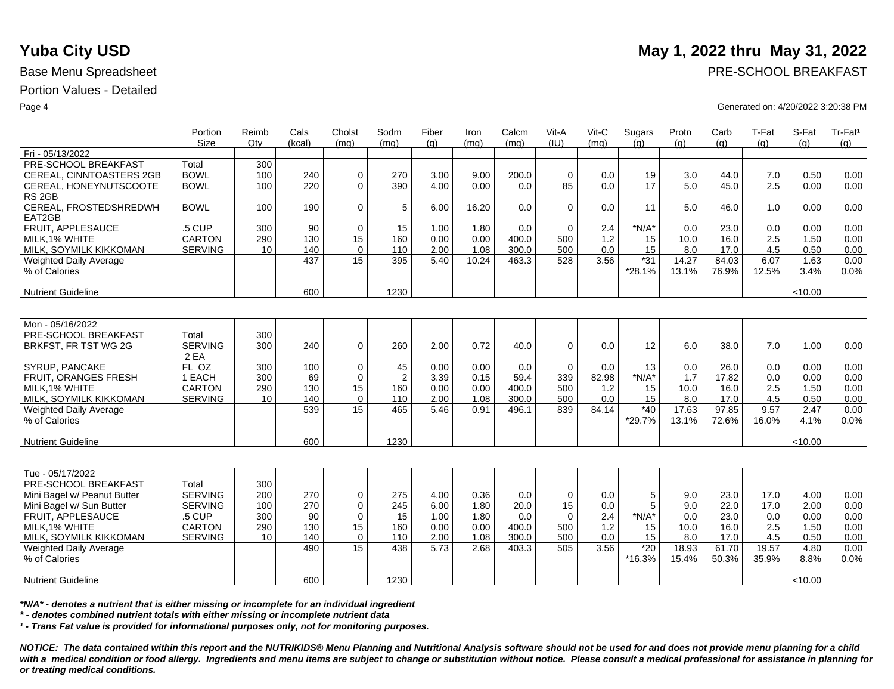|                                  | Portion<br><b>Size</b> | Reimb<br>$Q$ ty | Cals<br>(kcal) | Cholst<br>(mq) | Sodm<br>(mq)   | Fiber<br>(g) | Iron<br>(mq) | Calcm<br>(mq) | Vit-A<br>(IU) | Vit-C<br>(mq) | Sugars<br>(q) | Protn<br>(g) | Carb<br>(g) | T-Fat<br>(q) | S-Fat<br>(g) | Tr-Fat <sup>1</sup><br>(g) |
|----------------------------------|------------------------|-----------------|----------------|----------------|----------------|--------------|--------------|---------------|---------------|---------------|---------------|--------------|-------------|--------------|--------------|----------------------------|
| Fri - 05/13/2022                 |                        |                 |                |                |                |              |              |               |               |               |               |              |             |              |              |                            |
| PRE-SCHOOL BREAKFAST             | Total                  | 300             |                |                |                |              |              |               |               |               |               |              |             |              |              |                            |
| CEREAL, CINNTOASTERS 2GB         | <b>BOWL</b>            | 100             | 240            | 0              | 270            | 3.00         | 9.00         | 200.0         | $\mathbf 0$   | 0.0           | 19            | 3.0          | 44.0        | 7.0          | 0.50         | 0.00                       |
| CEREAL, HONEYNUTSCOOTE           | <b>BOWL</b>            | 100             | 220            | 0              | 390            | 4.00         | 0.00         | 0.0           | 85            | 0.0           | 17            | 5.0          | 45.0        | 2.5          | 0.00         | 0.00                       |
| RS <sub>2GB</sub>                |                        |                 |                |                |                |              |              |               |               |               |               |              |             |              |              |                            |
| CEREAL, FROSTEDSHREDWH<br>EAT2GB | <b>BOWL</b>            | 100             | 190            | 0              | 5              | 6.00         | 16.20        | 0.0           | $\mathbf 0$   | 0.0           | 11            | 5.0          | 46.0        | 1.0          | 0.00         | 0.00                       |
| FRUIT. APPLESAUCE                | .5 CUP                 | 300             | 90             | $\mathbf 0$    | 15             | 1.00         | 1.80         | 0.0           | $\mathbf 0$   | 2.4           | $*N/A*$       | 0.0          | 23.0        | 0.0          | 0.00         | 0.00                       |
| MILK.1% WHITE                    | <b>CARTON</b>          | 290             | 130            | 15             | 160            | 0.00         | 0.00         | 400.0         | 500           | 1.2           | 15            | 10.0         | 16.0        | 2.5          | 1.50         | 0.00                       |
| MILK, SOYMILK KIKKOMAN           | <b>SERVING</b>         | 10              | 140            | $\Omega$       | 110            | 2.00         | 1.08         | 300.0         | 500           | 0.0           | 15            | 8.0          | 17.0        | 4.5          | 0.50         | 0.00                       |
| <b>Weighted Daily Average</b>    |                        |                 | 437            | 15             | 395            | 5.40         | 10.24        | 463.3         | 528           | 3.56          | $*31$         | 14.27        | 84.03       | 6.07         | 1.63         | 0.00                       |
| % of Calories                    |                        |                 |                |                |                |              |              |               |               |               | *28.1%        | 13.1%        | 76.9%       | 12.5%        | 3.4%         | 0.0%                       |
| <b>Nutrient Guideline</b>        |                        |                 | 600            |                | 1230           |              |              |               |               |               |               |              |             |              | < 10.00      |                            |
|                                  |                        |                 |                |                |                |              |              |               |               |               |               |              |             |              |              |                            |
| Mon - 05/16/2022                 |                        |                 |                |                |                |              |              |               |               |               |               |              |             |              |              |                            |
| PRE-SCHOOL BREAKFAST             | Total                  | 300             |                |                |                |              |              |               |               |               |               |              |             |              |              |                            |
| BRKFST, FR TST WG 2G             | <b>SERVING</b><br>2 EA | 300             | 240            | $\mathbf 0$    | 260            | 2.00         | 0.72         | 40.0          | $\mathbf 0$   | 0.0           | 12            | 6.0          | 38.0        | 7.0          | 1.00         | 0.00                       |
| <b>SYRUP, PANCAKE</b>            | FL OZ                  | 300             | 100            | 0              | 45             | 0.00         | 0.00         | 0.0           | $\Omega$      | 0.0           | 13            | 0.0          | 26.0        | 0.0          | 0.00         | 0.00                       |
| FRUIT, ORANGES FRESH             | 1 EACH                 | 300             | 69             | 0              | $\overline{2}$ | 3.39         | 0.15         | 59.4          | 339           | 82.98         | $*N/A*$       | 1.7          | 17.82       | 0.0          | 0.00         | 0.00                       |
| MILK.1% WHITE                    | <b>CARTON</b>          | 290             | 130            | 15             | 160            | 0.00         | 0.00         | 400.0         | 500           | $1.2$         | 15            | 10.0         | 16.0        | 2.5          | 1.50         | 0.00                       |
| MILK, SOYMILK KIKKOMAN           | <b>SERVING</b>         | 10              | 140            | 0              | 110            | 2.00         | 1.08         | 300.0         | 500           | 0.0           | 15            | 8.0          | 17.0        | 4.5          | 0.50         | 0.00                       |
| <b>Weighted Daily Average</b>    |                        |                 | 539            | 15             | 465            | 5.46         | 0.91         | 496.1         | 839           | 84.14         | $*40$         | 17.63        | 97.85       | 9.57         | 2.47         | 0.00                       |
| % of Calories                    |                        |                 |                |                |                |              |              |               |               |               | *29.7%        | 13.1%        | 72.6%       | 16.0%        | 4.1%         | 0.0%                       |
| <b>Nutrient Guideline</b>        |                        |                 | 600            |                | 1230           |              |              |               |               |               |               |              |             |              | < 10.00      |                            |
|                                  |                        |                 |                |                |                |              |              |               |               |               |               |              |             |              |              |                            |
| Tue - 05/17/2022                 |                        |                 |                |                |                |              |              |               |               |               |               |              |             |              |              |                            |
| PRE-SCHOOL BREAKFAST             | Total                  | 300             |                |                |                |              |              |               |               |               |               |              |             |              |              |                            |
| Mini Bagel w/ Peanut Butter      | <b>SERVING</b>         | 200             | 270            | 0              | 275            | 4.00         | 0.36         | 0.0           | $\mathbf 0$   | 0.0           | 5             | 9.0          | 23.0        | 17.0         | 4.00         | 0.00                       |
| Mini Bagel w/ Sun Butter         | <b>SERVING</b>         | 100             | 270            | 0              | 245            | 6.00         | 1.80         | 20.0          | 15            | 0.0           | 5             | 9.0          | 22.0        | 17.0         | 2.00         | 0.00                       |
| FRUIT, APPLESAUCE                | .5 CUP                 | 300             | 90             | $\mathbf 0$    | 15             | 1.00         | 1.80         | 0.0           | $\Omega$      | 2.4           | $*N/A*$       | 0.0          | 23.0        | 0.0          | 0.00         | 0.00                       |
| MILK, 1% WHITE                   | <b>CARTON</b>          | 290             | 130            | 15             | 160            | 0.00         | 0.00         | 400.0         | 500           | 1.2           | 15            | 10.0         | 16.0        | 2.5          | 1.50         | 0.00                       |
| MILK, SOYMILK KIKKOMAN           | <b>SERVING</b>         | 10              | 140            | $\mathbf 0$    | 110            | 2.00         | 1.08         | 300.0         | 500           | 0.0           | 15            | 8.0          | 17.0        | 4.5          | 0.50         | 0.00                       |
| <b>Weighted Daily Average</b>    |                        |                 | 490            | 15             | 438            | 5.73         | 2.68         | 403.3         | 505           | 3.56          | $*20$         | 18.93        | 61.70       | 19.57        | 4.80         | 0.00                       |
| % of Calories                    |                        |                 |                |                |                |              |              |               |               |               | $*16.3%$      | 15.4%        | 50.3%       | 35.9%        | 8.8%         | 0.0%                       |
|                                  |                        |                 |                |                |                |              |              |               |               |               |               |              |             |              |              |                            |
| <b>Nutrient Guideline</b>        |                        |                 | 600            |                | 1230           |              |              |               |               |               |               |              |             |              | < 10.00      |                            |

*\*N/A\* - denotes a nutrient that is either missing or incomplete for an individual ingredient*

*\* - denotes combined nutrient totals with either missing or incomplete nutrient data*

*¹ - Trans Fat value is provided for informational purposes only, not for monitoring purposes.*

*NOTICE: The data contained within this report and the NUTRIKIDS® Menu Planning and Nutritional Analysis software should not be used for and does not provide menu planning for a child*  with a medical condition or food allergy. Ingredients and menu items are subject to change or substitution without notice. Please consult a medical professional for assistance in planning for *or treating medical conditions.*

# **Yuba City USD** May 1, 2022 thru May 31, 2022

Base Menu Spreadsheet **PRE-SCHOOL BREAKFAST** 

### Page 4 Generated on: 4/20/2022 3:20:38 PM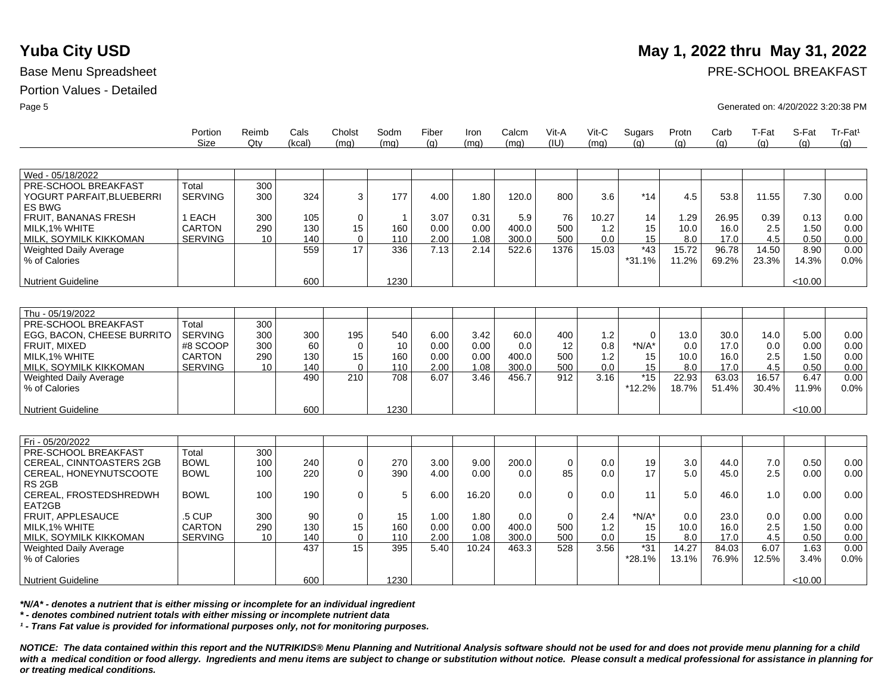|                            | Portion<br>Size | Reimb<br>Qtv | Cals<br>(kcal) | Cholst<br>(ma) | Sodm<br>(mq) | Fiber<br>(q) | Iron<br>(mq) | Calcm<br>(mq) | Vit-A<br>(IU) | $V$ it-C<br>(mq) | Sugars<br>(q) | Protn<br>(q) | Carb<br>(q) | T-Fat<br>(q) | S-Fat<br>(q) | $Tr-Fat1$<br>(q) |
|----------------------------|-----------------|--------------|----------------|----------------|--------------|--------------|--------------|---------------|---------------|------------------|---------------|--------------|-------------|--------------|--------------|------------------|
|                            |                 |              |                |                |              |              |              |               |               |                  |               |              |             |              |              |                  |
| Wed - 05/18/2022           |                 |              |                |                |              |              |              |               |               |                  |               |              |             |              |              |                  |
| PRE-SCHOOL BREAKFAST       | Total           | 300          |                |                |              |              |              |               |               |                  |               |              |             |              |              |                  |
| YOGURT PARFAIT, BLUEBERRI  | <b>SERVING</b>  | 300          | 324            | 3              | 177          | 4.00         | 1.80         | 120.0         | 800           | 3.6              | $*14$         | 4.5          | 53.8        | 11.55        | 7.30         | 0.00             |
| ES BWG                     |                 |              |                |                |              |              |              |               |               |                  |               |              |             |              |              |                  |
| FRUIT, BANANAS FRESH       | 1 EACH          | 300          | 105            | $\mathbf 0$    | $\mathbf 1$  | 3.07         | 0.31         | 5.9           | 76            | 10.27            | 14            | 1.29         | 26.95       | 0.39         | 0.13         | 0.00             |
| MILK.1% WHITE              | <b>CARTON</b>   | 290          | 130            | 15             | 160          | 0.00         | 0.00         | 400.0         | 500           | 1.2              | 15            | 10.0         | 16.0        | 2.5          | 1.50         | 0.00             |
| MILK, SOYMILK KIKKOMAN     | <b>SERVING</b>  | 10           | 140            | $\mathbf 0$    | 110          | 2.00         | 1.08         | 300.0         | 500           | 0.0              | 15            | 8.0          | 17.0        | 4.5          | 0.50         | 0.00             |
| Weighted Daily Average     |                 |              | 559            | 17             | 336          | 7.13         | 2.14         | 522.6         | 1376          | 15.03            | $*43$         | 15.72        | 96.78       | 14.50        | 8.90         | 0.00             |
| % of Calories              |                 |              |                |                |              |              |              |               |               |                  | $*31.1%$      | 11.2%        | 69.2%       | 23.3%        | 14.3%        | 0.0%             |
|                            |                 |              |                |                |              |              |              |               |               |                  |               |              |             |              |              |                  |
| <b>Nutrient Guideline</b>  |                 |              | 600            |                | 1230         |              |              |               |               |                  |               |              |             |              | < 10.00      |                  |
|                            |                 |              |                |                |              |              |              |               |               |                  |               |              |             |              |              |                  |
| Thu - 05/19/2022           |                 |              |                |                |              |              |              |               |               |                  |               |              |             |              |              |                  |
| PRE-SCHOOL BREAKFAST       | Total           | 300          |                |                |              |              |              |               |               |                  |               |              |             |              |              |                  |
| EGG, BACON, CHEESE BURRITO | <b>SERVING</b>  | 300          | 300            | 195            | 540          | 6.00         | 3.42         | 60.0          | 400           | 1.2              | $\Omega$      | 13.0         | 30.0        | 14.0         | 5.00         | 0.00             |
| <b>FRUIT, MIXED</b>        | #8 SCOOP        | 300          | 60             | $\Omega$       | 10           | 0.00         | 0.00         | 0.0           | 12            | 0.8              | $*N/A*$       | 0.0          | 17.0        | 0.0          | 0.00         | 0.00             |
| MILK.1% WHITE              | <b>CARTON</b>   | 290          | 130            | 15             | 160          | 0.00         | 0.00         | 400.0         | 500           | 1.2              | 15            | 10.0         | 16.0        | 2.5          | 1.50         | 0.00             |
| MILK, SOYMILK KIKKOMAN     | <b>SERVING</b>  | 10           | 140            | $\mathbf 0$    | 110          | 2.00         | 1.08         | 300.0         | 500           | 0.0              | 15            | 8.0          | 17.0        | 4.5          | 0.50         | 0.00             |
| Weighted Daily Average     |                 |              | 490            | 210            | 708          | 6.07         | 3.46         | 456.7         | 912           | 3.16             | $*15$         | 22.93        | 63.03       | 16.57        | 6.47         | 0.00             |
| % of Calories              |                 |              |                |                |              |              |              |               |               |                  | *12.2%        | 18.7%        | 51.4%       | 30.4%        | 11.9%        | $0.0\%$          |
|                            |                 |              |                |                |              |              |              |               |               |                  |               |              |             |              |              |                  |
| <b>Nutrient Guideline</b>  |                 |              | 600            |                | 1230         |              |              |               |               |                  |               |              |             |              | < 10.00      |                  |
|                            |                 |              |                |                |              |              |              |               |               |                  |               |              |             |              |              |                  |
| Fri - 05/20/2022           |                 |              |                |                |              |              |              |               |               |                  |               |              |             |              |              |                  |
| PRE-SCHOOL BREAKFAST       | Total           | 300          |                |                |              |              |              |               |               |                  |               |              |             |              |              |                  |
| CEREAL, CINNTOASTERS 2GB   | <b>BOWL</b>     | 100          | 240            | $\pmb{0}$      | 270          | 3.00         | 9.00         | 200.0         | $\mathbf 0$   | 0.0              | 19            | 3.0          | 44.0        | 7.0          | 0.50         | 0.00             |
| CEREAL, HONEYNUTSCOOTE     | <b>BOWL</b>     | 100          | 220            | $\Omega$       | 390          | 4.00         | 0.00         | 0.0           | 85            | 0.0              | 17            | 5.0          | 45.0        | 2.5          | 0.00         | 0.00             |
| RS <sub>2GB</sub>          |                 |              |                |                |              |              |              |               |               |                  |               |              |             |              |              |                  |
| CEREAL, FROSTEDSHREDWH     | <b>BOWL</b>     | 100          | 190            | $\mathbf 0$    | 5            | 6.00         | 16.20        | 0.0           | $\mathbf 0$   | 0.0              | 11            | 5.0          | 46.0        | 1.0          | 0.00         | 0.00             |
| EAT2GB                     |                 |              |                |                |              |              |              |               |               |                  |               |              |             |              |              |                  |
| FRUIT. APPLESAUCE          | .5 CUP          | 300          | 90             | $\mathbf 0$    | 15           | 1.00         | 1.80         | 0.0           | $\mathbf 0$   | 2.4              | $*N/A*$       | 0.0          | 23.0        | 0.0          | 0.00         | 0.00             |
| MILK.1% WHITE              | <b>CARTON</b>   | 290          | 130            | 15             | 160          | 0.00         | 0.00         | 400.0         | 500           | 1.2              | 15            | 10.0         | 16.0        | 2.5          | 1.50         | 0.00             |
| MILK, SOYMILK KIKKOMAN     | <b>SERVING</b>  | 10           | 140            | $\mathbf 0$    | 110          | 2.00         | 1.08         | 300.0         | 500           | 0.0              | 15            | 8.0          | 17.0        | 4.5          | 0.50         | 0.00             |
| Weighted Daily Average     |                 |              | 437            | 15             | 395          | 5.40         | 10.24        | 463.3         | 528           | 3.56             | $*31$         | 14.27        | 84.03       | 6.07         | 1.63         | 0.00             |
| % of Calories              |                 |              |                |                |              |              |              |               |               |                  | $*28.1%$      | 13.1%        | 76.9%       | 12.5%        | 3.4%         | 0.0%             |
|                            |                 |              |                |                |              |              |              |               |               |                  |               |              |             |              |              |                  |
| <b>Nutrient Guideline</b>  |                 |              | 600            |                | 1230         |              |              |               |               |                  |               |              |             |              | <10.00       |                  |

*\*N/A\* - denotes a nutrient that is either missing or incomplete for an individual ingredient*

*\* - denotes combined nutrient totals with either missing or incomplete nutrient data*

*¹ - Trans Fat value is provided for informational purposes only, not for monitoring purposes.*

*NOTICE: The data contained within this report and the NUTRIKIDS® Menu Planning and Nutritional Analysis software should not be used for and does not provide menu planning for a child*  with a medical condition or food allergy. Ingredients and menu items are subject to change or substitution without notice. Please consult a medical professional for assistance in planning for *or treating medical conditions.*

# **Yuba City USD** May 1, 2022 thru May 31, 2022

Base Menu Spreadsheet **PRE-SCHOOL BREAKFAST** 

Page 5 Generated on: 4/20/2022 3:20:38 PM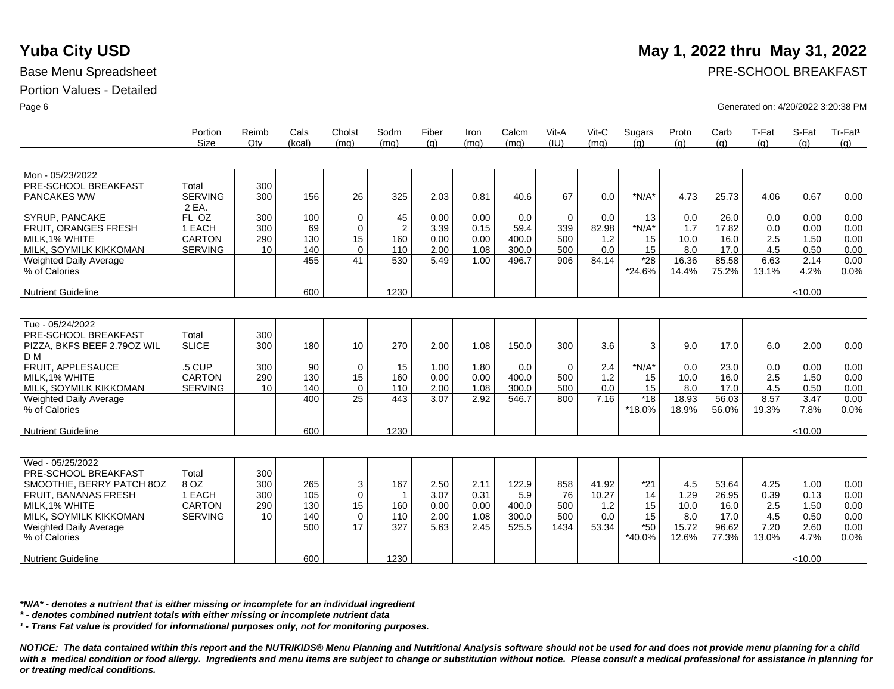|                                                | Portion<br>Size         | Reimb<br>Qtv | Cals<br>(kcal) | Cholst<br>(mq) | Sodm<br>(mq)   | Fiber<br>(q) | Iron<br>(mq) | Calcm<br>(mq) | Vit-A<br>(IU) | Vit-C<br>(mq) | Sugars<br>(a)   | Protn<br>(g)   | Carb<br>(g)    | T-Fat<br>(q)  | S-Fat<br>(q) | Tr-Fat <sup>1</sup><br>(q) |
|------------------------------------------------|-------------------------|--------------|----------------|----------------|----------------|--------------|--------------|---------------|---------------|---------------|-----------------|----------------|----------------|---------------|--------------|----------------------------|
|                                                |                         |              |                |                |                |              |              |               |               |               |                 |                |                |               |              |                            |
| Mon - 05/23/2022                               |                         |              |                |                |                |              |              |               |               |               |                 |                |                |               |              |                            |
| PRE-SCHOOL BREAKFAST                           | Total                   | 300          |                |                |                |              |              |               |               |               |                 |                |                |               |              |                            |
| <b>PANCAKES WW</b>                             | <b>SERVING</b><br>2 EA. | 300          | 156            | 26             | 325            | 2.03         | 0.81         | 40.6          | 67            | 0.0           | $*N/A*$         | 4.73           | 25.73          | 4.06          | 0.67         | 0.00                       |
| SYRUP, PANCAKE                                 | FL OZ                   | 300          | 100            | 0              | 45             | 0.00         | 0.00         | 0.0           | $\mathbf{0}$  | 0.0           | 13              | 0.0            | 26.0           | 0.0           | 0.00         | 0.00                       |
| FRUIT, ORANGES FRESH                           | 1 EACH                  | 300          | 69             | 0              | $\overline{2}$ | 3.39         | 0.15         | 59.4          | 339           | 82.98         | $*N/A*$         | 1.7            | 17.82          | 0.0           | 0.00         | 0.00                       |
| MILK.1% WHITE                                  | <b>CARTON</b>           | 290          | 130            | 15             | 160            | 0.00         | 0.00         | 400.0         | 500           | 1.2           | 15              | 10.0           | 16.0           | 2.5           | 1.50         | 0.00                       |
| MILK, SOYMILK KIKKOMAN                         | <b>SERVING</b>          | 10           | 140            | $\Omega$       | 110            | 2.00         | 1.08         | 300.0         | 500           | 0.0           | 15              | 8.0            | 17.0           | 4.5           | 0.50         | 0.00                       |
| <b>Weighted Daily Average</b><br>% of Calories |                         |              | 455            | 41             | 530            | 5.49         | 1.00         | 496.7         | 906           | 84.14         | $*28$<br>*24.6% | 16.36<br>14.4% | 85.58<br>75.2% | 6.63<br>13.1% | 2.14<br>4.2% | 0.00<br>0.0%               |
| <b>Nutrient Guideline</b>                      |                         |              | 600            |                | 1230           |              |              |               |               |               |                 |                |                |               | < 10.00      |                            |
|                                                |                         |              |                |                |                |              |              |               |               |               |                 |                |                |               |              |                            |
| Tue - 05/24/2022                               |                         |              |                |                |                |              |              |               |               |               |                 |                |                |               |              |                            |
| PRE-SCHOOL BREAKFAST                           | Total                   | 300          |                |                |                |              |              |               |               |               |                 |                |                |               |              |                            |
| PIZZA, BKFS BEEF 2.790Z WIL<br>D <sub>M</sub>  | <b>SLICE</b>            | 300          | 180            | 10             | 270            | 2.00         | 1.08         | 150.0         | 300           | 3.6           | 3               | 9.0            | 17.0           | 6.0           | 2.00         | 0.00                       |
| FRUIT. APPLESAUCE                              | .5 CUP                  | 300          | 90             | $\mathbf 0$    | 15             | 1.00         | 1.80         | 0.0           | $\Omega$      | 2.4           | $*N/A*$         | 0.0            | 23.0           | 0.0           | 0.00         | 0.00                       |
| MILK, 1% WHITE                                 | <b>CARTON</b>           | 290          | 130            | 15             | 160            | 0.00         | 0.00         | 400.0         | 500           | 1.2           | 15              | 10.0           | 16.0           | 2.5           | 1.50         | 0.00                       |
| MILK, SOYMILK KIKKOMAN                         | <b>SERVING</b>          | 10           | 140            | $\Omega$       | 110            | 2.00         | 1.08         | 300.0         | 500           | 0.0           | 15              | 8.0            | 17.0           | 4.5           | 0.50         | 0.00                       |
| <b>Weighted Daily Average</b>                  |                         |              | 400            | 25             | 443            | 3.07         | 2.92         | 546.7         | 800           | 7.16          | $*18$           | 18.93          | 56.03          | 8.57          | 3.47         | 0.00                       |
| % of Calories                                  |                         |              |                |                |                |              |              |               |               |               | *18.0%          | 18.9%          | 56.0%          | 19.3%         | 7.8%         | 0.0%                       |
| <b>Nutrient Guideline</b>                      |                         |              | 600            |                | 1230           |              |              |               |               |               |                 |                |                |               | < 10.00      |                            |
|                                                |                         |              |                |                |                |              |              |               |               |               |                 |                |                |               |              |                            |
| Wed - 05/25/2022                               |                         |              |                |                |                |              |              |               |               |               |                 |                |                |               |              |                            |
| PRE-SCHOOL BREAKFAST                           | Total                   | 300          |                |                |                |              |              |               |               |               |                 |                |                |               |              |                            |
| SMOOTHIE, BERRY PATCH 8OZ                      | 8 OZ                    | 300          | 265            | 3              | 167            | 2.50         | 2.11         | 122.9         | 858           | 41.92         | $*21$           | 4.5            | 53.64          | 4.25          | 1.00         | 0.00                       |
| <b>FRUIT, BANANAS FRESH</b>                    | 1 EACH                  | 300          | 105            | $\mathbf 0$    | $\overline{1}$ | 3.07         | 0.31         | 5.9           | 76            | 10.27         | 14              | 1.29           | 26.95          | 0.39          | 0.13         | 0.00                       |
| MILK, 1% WHITE                                 | CARTON                  | 290          | 130            | 15             | 160            | 0.00         | 0.00         | 400.0         | 500           | 1.2           | 15              | 10.0           | 16.0           | 2.5           | 1.50         | 0.00                       |
| MILK, SOYMILK KIKKOMAN                         | <b>SERVING</b>          | 10           | 140            | $\mathbf 0$    | 110            | 2.00         | 1.08         | 300.0         | 500           | 0.0           | 15              | 8.0            | 17.0           | 4.5           | 0.50         | 0.00                       |
| <b>Weighted Daily Average</b>                  |                         |              | 500            | 17             | 327            | 5.63         | 2.45         | 525.5         | 1434          | 53.34         | $*50$           | 15.72          | 96.62          | 7.20          | 2.60         | 0.00                       |
| % of Calories                                  |                         |              |                |                |                |              |              |               |               |               | *40.0%          | 12.6%          | 77.3%          | 13.0%         | 4.7%         | 0.0%                       |
| <b>Nutrient Guideline</b>                      |                         |              | 600            |                | 1230           |              |              |               |               |               |                 |                |                |               | < 10.00      |                            |

*\*N/A\* - denotes a nutrient that is either missing or incomplete for an individual ingredient*

*\* - denotes combined nutrient totals with either missing or incomplete nutrient data*

*¹ - Trans Fat value is provided for informational purposes only, not for monitoring purposes.*

*NOTICE: The data contained within this report and the NUTRIKIDS® Menu Planning and Nutritional Analysis software should not be used for and does not provide menu planning for a child*  with a medical condition or food allergy. Ingredients and menu items are subject to change or substitution without notice. Please consult a medical professional for assistance in planning for *or treating medical conditions.*

# **Yuba City USD** May 1, 2022 thru May 31, 2022

Base Menu Spreadsheet **PRE-SCHOOL BREAKFAST** 

Page 6 Generated on: 4/20/2022 3:20:38 PM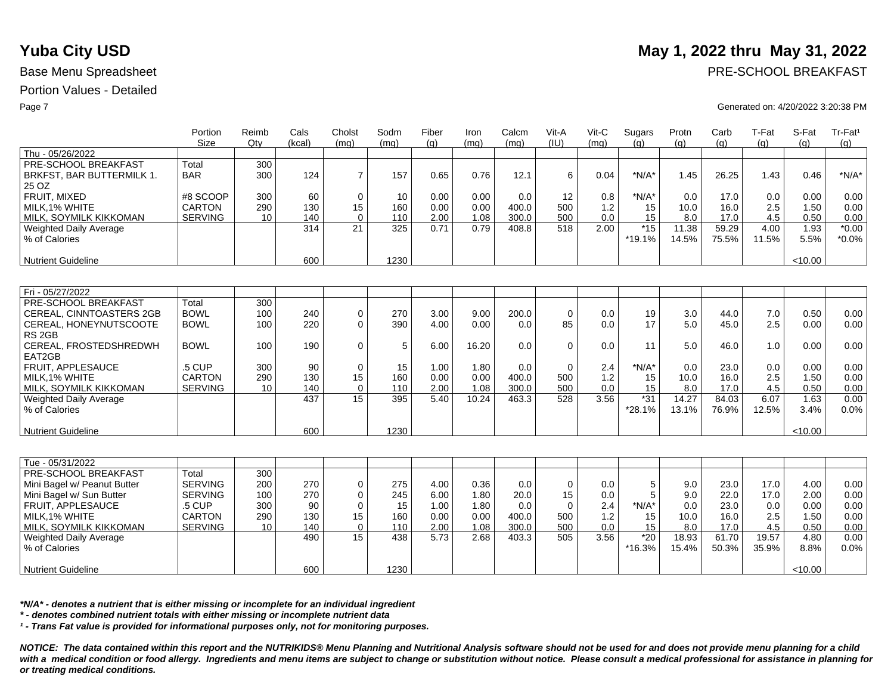|                               | Portion<br><b>Size</b> | Reimb<br>Qtv | Cals<br>(kcal) | Cholst<br>(mq) | Sodm<br>(mq) | Fiber<br>(g) | Iron<br>(mq) | Calcm<br>(mq) | Vit-A<br>(IU) | Vit-C<br>(mq) | Sugars<br>(q) | Protn<br>(g) | Carb<br>(g) | T-Fat<br>(q) | S-Fat<br>(g) | Tr-Fat <sup>1</sup><br>(g) |
|-------------------------------|------------------------|--------------|----------------|----------------|--------------|--------------|--------------|---------------|---------------|---------------|---------------|--------------|-------------|--------------|--------------|----------------------------|
| Thu - 05/26/2022              |                        |              |                |                |              |              |              |               |               |               |               |              |             |              |              |                            |
| PRE-SCHOOL BREAKFAST          | Total                  | 300          |                |                |              |              |              |               |               |               |               |              |             |              |              |                            |
| BRKFST, BAR BUTTERMILK 1.     | <b>BAR</b>             | 300          | 124            | $\overline{7}$ | 157          | 0.65         | 0.76         | 12.1          | 6             | 0.04          | $*N/A*$       | 1.45         | 26.25       | 1.43         | 0.46         | $*N/A*$                    |
| 25 OZ                         |                        |              |                |                |              |              |              |               |               |               |               |              |             |              |              |                            |
| FRUIT, MIXED                  | #8 SCOOP               | 300          | 60             | $\mathbf 0$    | 10           | 0.00         | 0.00         | 0.0           | 12            | 0.8           | $*N/A*$       | 0.0          | 17.0        | 0.0          | 0.00         | 0.00                       |
| MILK.1% WHITE                 | <b>CARTON</b>          | 290          | 130            | 15             | 160          | 0.00         | 0.00         | 400.0         | 500           | 1.2           | 15            | 10.0         | 16.0        | 2.5          | 1.50         | 0.00                       |
| MILK, SOYMILK KIKKOMAN        | <b>SERVING</b>         | 10           | 140            | $\Omega$       | 110          | 2.00         | 1.08         | 300.0         | 500           | 0.0           | 15            | 8.0          | 17.0        | 4.5          | 0.50         | 0.00                       |
| Weighted Daily Average        |                        |              | 314            | 21             | 325          | 0.71         | 0.79         | 408.8         | 518           | 2.00          | $*15$         | 11.38        | 59.29       | 4.00         | 1.93         | $*0.00$                    |
| % of Calories                 |                        |              |                |                |              |              |              |               |               |               | $*19.1%$      | 14.5%        | 75.5%       | 11.5%        | 5.5%         | $*0.0\%$                   |
|                               |                        |              |                |                |              |              |              |               |               |               |               |              |             |              |              |                            |
| <b>Nutrient Guideline</b>     |                        |              | 600            |                | 1230         |              |              |               |               |               |               |              |             |              | < 10.00      |                            |
|                               |                        |              |                |                |              |              |              |               |               |               |               |              |             |              |              |                            |
| Fri - 05/27/2022              |                        |              |                |                |              |              |              |               |               |               |               |              |             |              |              |                            |
| PRE-SCHOOL BREAKFAST          | Total                  | 300          |                |                |              |              |              |               |               |               |               |              |             |              |              |                            |
| CEREAL, CINNTOASTERS 2GB      | <b>BOWL</b>            | 100          | 240            | $\mathbf 0$    | 270          | 3.00         | 9.00         | 200.0         | $\mathbf 0$   | 0.0           | 19            | 3.0          | 44.0        | 7.0          | 0.50         | 0.00                       |
| CEREAL, HONEYNUTSCOOTE        | <b>BOWL</b>            | 100          | 220            | $\Omega$       | 390          | 4.00         | 0.00         | 0.0           | 85            | 0.0           | 17            | 5.0          | 45.0        | 2.5          | 0.00         | 0.00                       |
| RS <sub>2GB</sub>             |                        |              |                |                |              |              |              |               |               |               |               |              |             |              |              |                            |
| CEREAL, FROSTEDSHREDWH        | <b>BOWL</b>            | 100          | 190            | $\mathbf 0$    | 5            | 6.00         | 16.20        | 0.0           | $\Omega$      | 0.0           | 11            | 5.0          | 46.0        | 1.0          | 0.00         | 0.00                       |
| EAT2GB                        |                        |              |                |                |              |              |              |               |               |               |               |              |             |              |              |                            |
| FRUIT. APPLESAUCE             | .5 CUP                 | 300          | 90             | 0              | 15           | 1.00         | 1.80         | 0.0           | $\Omega$      | 2.4           | $*N/A*$       | 0.0          | 23.0        | 0.0          | 0.00         | 0.00                       |
| MILK, 1% WHITE                | <b>CARTON</b>          | 290          | 130            | 15             | 160          | 0.00         | 0.00         | 400.0         | 500           | 1.2           | 15            | 10.0         | 16.0        | 2.5          | 1.50         | 0.00                       |
| MILK, SOYMILK KIKKOMAN        | <b>SERVING</b>         | 10           | 140            | $\Omega$       | 110          | 2.00         | 1.08         | 300.0         | 500           | 0.0           | 15            | 8.0          | 17.0        | 4.5          | 0.50         | 0.00                       |
| Weighted Daily Average        |                        |              | 437            | 15             | 395          | 5.40         | 10.24        | 463.3         | 528           | 3.56          | $*31$         | 14.27        | 84.03       | 6.07         | 1.63         | 0.00                       |
| % of Calories                 |                        |              |                |                |              |              |              |               |               |               | *28.1%        | 13.1%        | 76.9%       | 12.5%        | 3.4%         | 0.0%                       |
|                               |                        |              |                |                |              |              |              |               |               |               |               |              |             |              |              |                            |
| <b>Nutrient Guideline</b>     |                        |              | 600            |                | 1230         |              |              |               |               |               |               |              |             |              | < 10.00      |                            |
|                               |                        |              |                |                |              |              |              |               |               |               |               |              |             |              |              |                            |
| Tue - 05/31/2022              |                        |              |                |                |              |              |              |               |               |               |               |              |             |              |              |                            |
| PRE-SCHOOL BREAKFAST          | Total                  | 300          |                |                |              |              |              |               |               |               |               |              |             |              |              |                            |
| Mini Bagel w/ Peanut Butter   | <b>SERVING</b>         | 200          | 270            | $\mathbf 0$    | 275          | 4.00         | 0.36         | 0.0           | $\mathbf 0$   | 0.0           | 5             | 9.0          | 23.0        | 17.0         | 4.00         | 0.00                       |
| Mini Bagel w/ Sun Butter      | <b>SERVING</b>         | 100          | 270            | $\pmb{0}$      | 245          | 6.00         | 1.80         | 20.0          | 15            | 0.0           | 5             | 9.0          | 22.0        | 17.0         | 2.00         | 0.00                       |
| FRUIT, APPLESAUCE             | .5 CUP                 | 300          | 90             | $\Omega$       | 15           | 1.00         | 1.80         | 0.0           | $\Omega$      | 2.4           | $*N/A*$       | 0.0          | 23.0        | 0.0          | 0.00         | 0.00                       |
| MILK.1% WHITE                 | <b>CARTON</b>          | 290          | 130            | 15             | 160          | 0.00         | 0.00         | 400.0         | 500           | 1.2           | 15            | 10.0         | 16.0        | 2.5          | 1.50         | 0.00                       |
| MILK, SOYMILK KIKKOMAN        | <b>SERVING</b>         | 10           | 140            | $\mathbf 0$    | 110          | 2.00         | 1.08         | 300.0         | 500           | 0.0           | 15            | 8.0          | 17.0        | 4.5          | 0.50         | 0.00                       |
| <b>Weighted Daily Average</b> |                        |              | 490            | 15             | 438          | 5.73         | 2.68         | 403.3         | 505           | 3.56          | $*20$         | 18.93        | 61.70       | 19.57        | 4.80         | 0.00                       |
| % of Calories                 |                        |              |                |                |              |              |              |               |               |               | $*16.3%$      | 15.4%        | 50.3%       | 35.9%        | 8.8%         | 0.0%                       |
| <b>Nutrient Guideline</b>     |                        |              | 600            |                | 1230         |              |              |               |               |               |               |              |             |              | < 10.00      |                            |
|                               |                        |              |                |                |              |              |              |               |               |               |               |              |             |              |              |                            |

*\*N/A\* - denotes a nutrient that is either missing or incomplete for an individual ingredient*

*\* - denotes combined nutrient totals with either missing or incomplete nutrient data*

*¹ - Trans Fat value is provided for informational purposes only, not for monitoring purposes.*

*NOTICE: The data contained within this report and the NUTRIKIDS® Menu Planning and Nutritional Analysis software should not be used for and does not provide menu planning for a child*  with a medical condition or food allergy. Ingredients and menu items are subject to change or substitution without notice. Please consult a medical professional for assistance in planning for *or treating medical conditions.*

# **Yuba City USD** May 1, 2022 thru May 31, 2022

Base Menu Spreadsheet **PRE-SCHOOL BREAKFAST** 

### Page 7 Generated on: 4/20/2022 3:20:38 PM